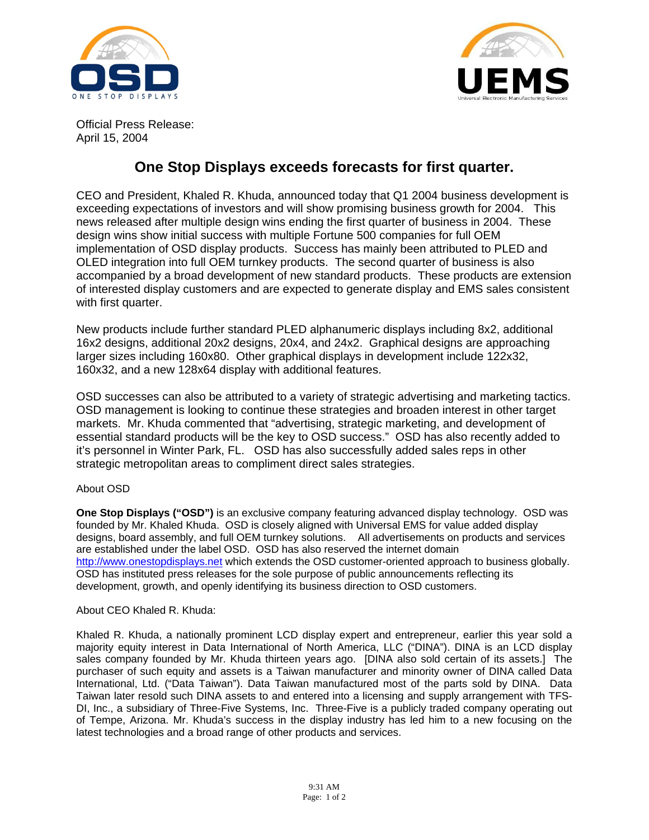



Official Press Release: April 15, 2004

## **One Stop Displays exceeds forecasts for first quarter.**

CEO and President, Khaled R. Khuda, announced today that Q1 2004 business development is exceeding expectations of investors and will show promising business growth for 2004. This news released after multiple design wins ending the first quarter of business in 2004. These design wins show initial success with multiple Fortune 500 companies for full OEM implementation of OSD display products. Success has mainly been attributed to PLED and OLED integration into full OEM turnkey products. The second quarter of business is also accompanied by a broad development of new standard products. These products are extension of interested display customers and are expected to generate display and EMS sales consistent with first quarter.

New products include further standard PLED alphanumeric displays including 8x2, additional 16x2 designs, additional 20x2 designs, 20x4, and 24x2. Graphical designs are approaching larger sizes including 160x80. Other graphical displays in development include 122x32, 160x32, and a new 128x64 display with additional features.

OSD successes can also be attributed to a variety of strategic advertising and marketing tactics. OSD management is looking to continue these strategies and broaden interest in other target markets. Mr. Khuda commented that "advertising, strategic marketing, and development of essential standard products will be the key to OSD success." OSD has also recently added to it's personnel in Winter Park, FL. OSD has also successfully added sales reps in other strategic metropolitan areas to compliment direct sales strategies.

## About OSD

**One Stop Displays ("OSD")** is an exclusive company featuring advanced display technology. OSD was founded by Mr. Khaled Khuda. OSD is closely aligned with Universal EMS for value added display designs, board assembly, and full OEM turnkey solutions. All advertisements on products and services are established under the label OSD. OSD has also reserved the internet domain http://www.onestopdisplays.net which extends the OSD customer-oriented approach to business globally. OSD has instituted press releases for the sole purpose of public announcements reflecting its development, growth, and openly identifying its business direction to OSD customers.

## About CEO Khaled R. Khuda:

Khaled R. Khuda, a nationally prominent LCD display expert and entrepreneur, earlier this year sold a majority equity interest in Data International of North America, LLC ("DINA"). DINA is an LCD display sales company founded by Mr. Khuda thirteen years ago. [DINA also sold certain of its assets.] The purchaser of such equity and assets is a Taiwan manufacturer and minority owner of DINA called Data International, Ltd. ("Data Taiwan"). Data Taiwan manufactured most of the parts sold by DINA. Data Taiwan later resold such DINA assets to and entered into a licensing and supply arrangement with TFS-DI, Inc., a subsidiary of Three-Five Systems, Inc. Three-Five is a publicly traded company operating out of Tempe, Arizona. Mr. Khuda's success in the display industry has led him to a new focusing on the latest technologies and a broad range of other products and services.